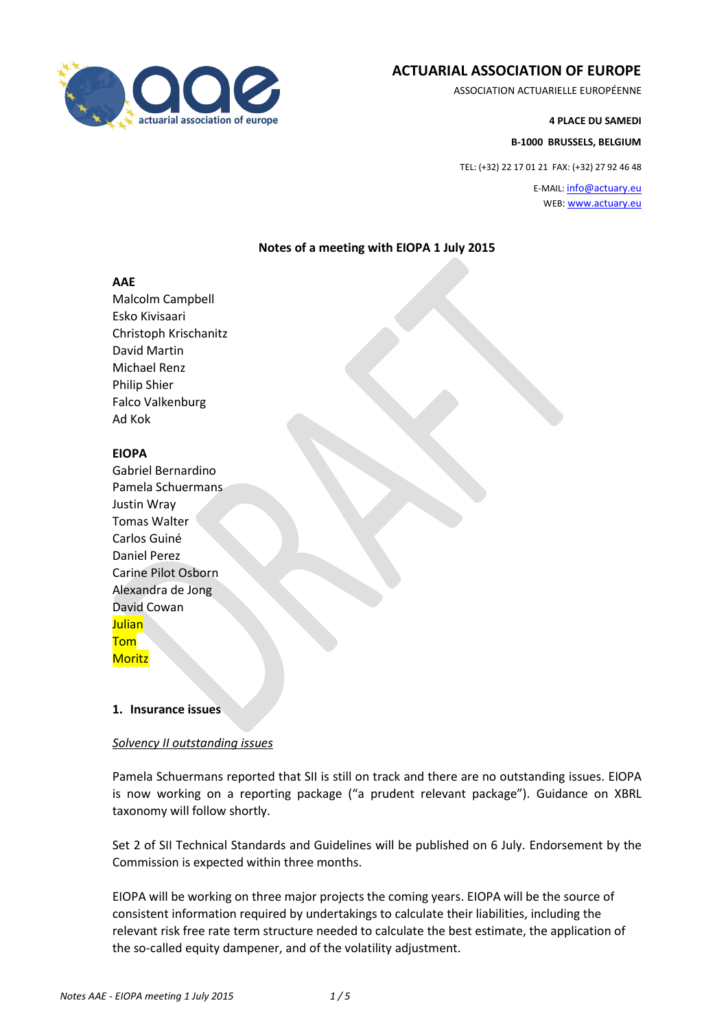

# **ACTUARIAL ASSOCIATION OF EUROPE**

ASSOCIATION ACTUARIELLE EUROPÉENNE

**4 PLACE DU SAMEDI**

**B-1000 BRUSSELS, BELGIUM**

TEL: (+32) 22 17 01 21 FAX: (+32) 27 92 46 48

E-MAIL: [info@actuary.eu](mailto:info@actuary.eu) WEB[: www.actuary.eu](http://www.actuary.eu/)

# **Notes of a meeting with EIOPA 1 July 2015**

#### **AAE**

Malcolm Campbell Esko Kivisaari Christoph Krischanitz David Martin Michael Renz Philip Shier Falco Valkenburg Ad Kok

# **EIOPA**

Gabriel Bernardino Pamela Schuermans Justin Wray Tomas Walter Carlos Guiné Daniel Perez Carine Pilot Osborn Alexandra de Jong David Cowan Julian Tom **Moritz** 

# **1. Insurance issues**

# *Solvency II outstanding issues*

Pamela Schuermans reported that SII is still on track and there are no outstanding issues. EIOPA is now working on a reporting package ("a prudent relevant package"). Guidance on XBRL taxonomy will follow shortly.

Set 2 of SII Technical Standards and Guidelines will be published on 6 July. Endorsement by the Commission is expected within three months.

EIOPA will be working on three major projects the coming years. EIOPA will be the source of consistent information required by undertakings to calculate their liabilities, including the relevant risk free rate term structure needed to calculate the best estimate, the application of the so-called equity dampener, and of the volatility adjustment.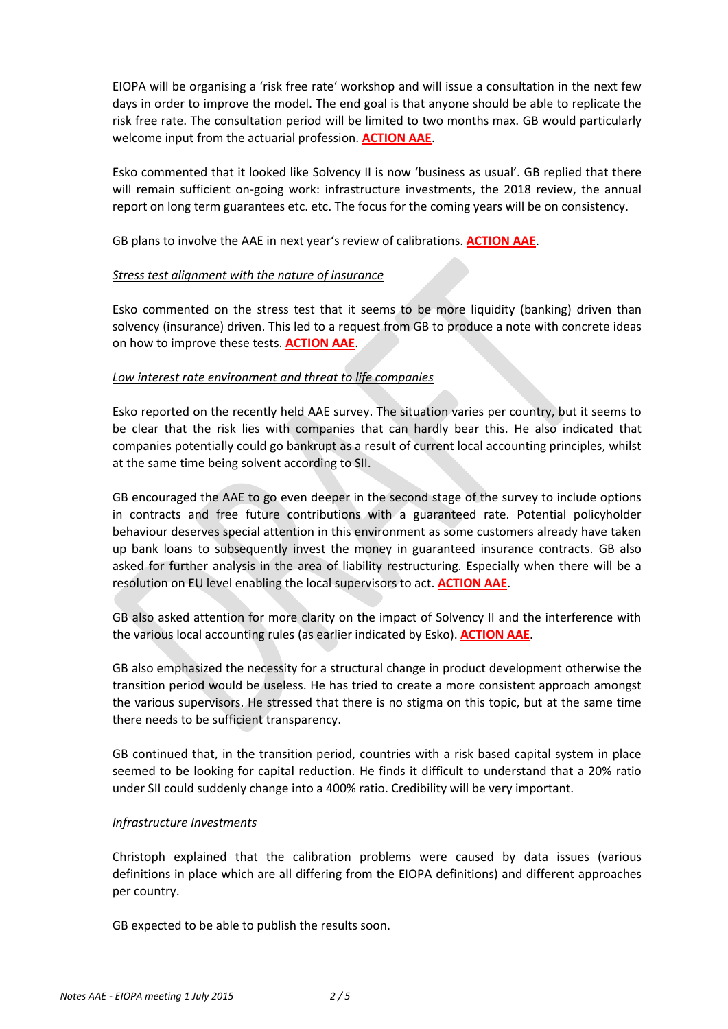EIOPA will be organising a 'risk free rate' workshop and will issue a consultation in the next few days in order to improve the model. The end goal is that anyone should be able to replicate the risk free rate. The consultation period will be limited to two months max. GB would particularly welcome input from the actuarial profession. **ACTION AAE**.

Esko commented that it looked like Solvency II is now 'business as usual'. GB replied that there will remain sufficient on-going work: infrastructure investments, the 2018 review, the annual report on long term guarantees etc. etc. The focus for the coming years will be on consistency.

GB plans to involve the AAE in next year's review of calibrations. **ACTION AAE**.

# *Stress test alignment with the nature of insurance*

Esko commented on the stress test that it seems to be more liquidity (banking) driven than solvency (insurance) driven. This led to a request from GB to produce a note with concrete ideas on how to improve these tests. **ACTION AAE**.

# *Low interest rate environment and threat to life companies*

Esko reported on the recently held AAE survey. The situation varies per country, but it seems to be clear that the risk lies with companies that can hardly bear this. He also indicated that companies potentially could go bankrupt as a result of current local accounting principles, whilst at the same time being solvent according to SII.

GB encouraged the AAE to go even deeper in the second stage of the survey to include options in contracts and free future contributions with a guaranteed rate. Potential policyholder behaviour deserves special attention in this environment as some customers already have taken up bank loans to subsequently invest the money in guaranteed insurance contracts. GB also asked for further analysis in the area of liability restructuring. Especially when there will be a resolution on EU level enabling the local supervisors to act. **ACTION AAE**.

GB also asked attention for more clarity on the impact of Solvency II and the interference with the various local accounting rules (as earlier indicated by Esko). **ACTION AAE**.

GB also emphasized the necessity for a structural change in product development otherwise the transition period would be useless. He has tried to create a more consistent approach amongst the various supervisors. He stressed that there is no stigma on this topic, but at the same time there needs to be sufficient transparency.

GB continued that, in the transition period, countries with a risk based capital system in place seemed to be looking for capital reduction. He finds it difficult to understand that a 20% ratio under SII could suddenly change into a 400% ratio. Credibility will be very important.

# *Infrastructure Investments*

Christoph explained that the calibration problems were caused by data issues (various definitions in place which are all differing from the EIOPA definitions) and different approaches per country.

GB expected to be able to publish the results soon.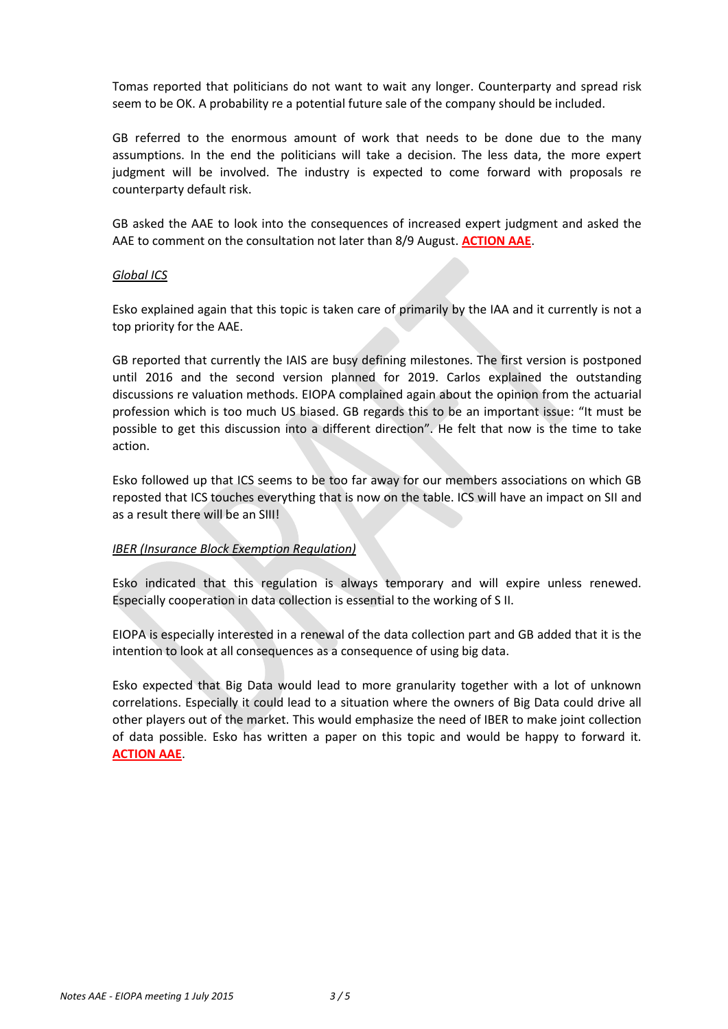Tomas reported that politicians do not want to wait any longer. Counterparty and spread risk seem to be OK. A probability re a potential future sale of the company should be included.

GB referred to the enormous amount of work that needs to be done due to the many assumptions. In the end the politicians will take a decision. The less data, the more expert judgment will be involved. The industry is expected to come forward with proposals re counterparty default risk.

GB asked the AAE to look into the consequences of increased expert judgment and asked the AAE to comment on the consultation not later than 8/9 August. **ACTION AAE**.

#### *Global ICS*

Esko explained again that this topic is taken care of primarily by the IAA and it currently is not a top priority for the AAE.

GB reported that currently the IAIS are busy defining milestones. The first version is postponed until 2016 and the second version planned for 2019. Carlos explained the outstanding discussions re valuation methods. EIOPA complained again about the opinion from the actuarial profession which is too much US biased. GB regards this to be an important issue: "It must be possible to get this discussion into a different direction". He felt that now is the time to take action.

Esko followed up that ICS seems to be too far away for our members associations on which GB reposted that ICS touches everything that is now on the table. ICS will have an impact on SII and as a result there will be an SIII!

# *IBER (Insurance Block Exemption Regulation)*

Esko indicated that this regulation is always temporary and will expire unless renewed. Especially cooperation in data collection is essential to the working of S II.

EIOPA is especially interested in a renewal of the data collection part and GB added that it is the intention to look at all consequences as a consequence of using big data.

Esko expected that Big Data would lead to more granularity together with a lot of unknown correlations. Especially it could lead to a situation where the owners of Big Data could drive all other players out of the market. This would emphasize the need of IBER to make joint collection of data possible. Esko has written a paper on this topic and would be happy to forward it. **ACTION AAE**.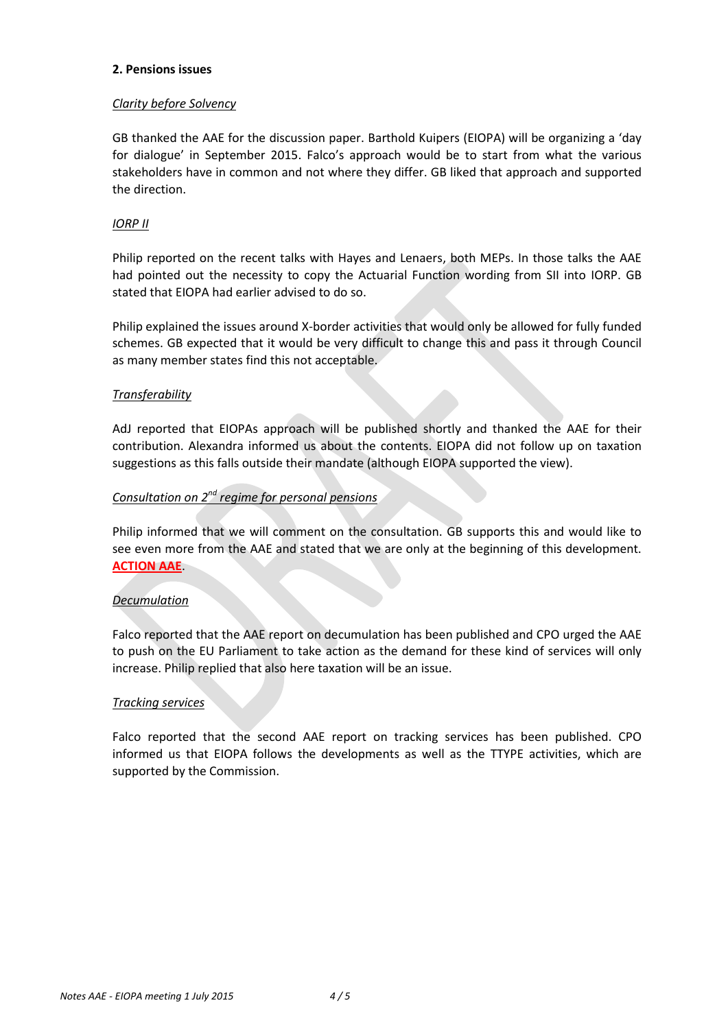### **2. Pensions issues**

# *Clarity before Solvency*

GB thanked the AAE for the discussion paper. Barthold Kuipers (EIOPA) will be organizing a 'day for dialogue' in September 2015. Falco's approach would be to start from what the various stakeholders have in common and not where they differ. GB liked that approach and supported the direction.

# *IORP II*

Philip reported on the recent talks with Hayes and Lenaers, both MEPs. In those talks the AAE had pointed out the necessity to copy the Actuarial Function wording from SII into IORP. GB stated that EIOPA had earlier advised to do so.

Philip explained the issues around X-border activities that would only be allowed for fully funded schemes. GB expected that it would be very difficult to change this and pass it through Council as many member states find this not acceptable.

# *Transferability*

AdJ reported that EIOPAs approach will be published shortly and thanked the AAE for their contribution. Alexandra informed us about the contents. EIOPA did not follow up on taxation suggestions as this falls outside their mandate (although EIOPA supported the view).

# *Consultation on 2nd regime for personal pensions*

Philip informed that we will comment on the consultation. GB supports this and would like to see even more from the AAE and stated that we are only at the beginning of this development. **ACTION AAE**.

# *Decumulation*

Falco reported that the AAE report on decumulation has been published and CPO urged the AAE to push on the EU Parliament to take action as the demand for these kind of services will only increase. Philip replied that also here taxation will be an issue.

# *Tracking services*

Falco reported that the second AAE report on tracking services has been published. CPO informed us that EIOPA follows the developments as well as the TTYPE activities, which are supported by the Commission.